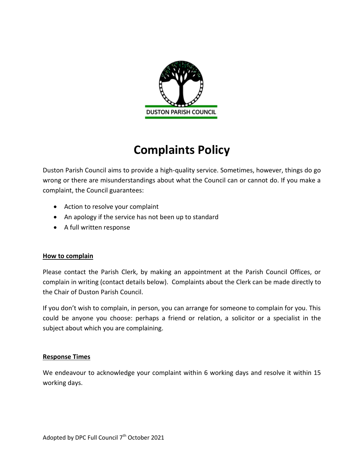

# **Complaints Policy**

Duston Parish Council aims to provide a high-quality service. Sometimes, however, things do go wrong or there are misunderstandings about what the Council can or cannot do. If you make a complaint, the Council guarantees:

- Action to resolve your complaint
- An apology if the service has not been up to standard
- A full written response

#### **How to complain**

Please contact the Parish Clerk, by making an appointment at the Parish Council Offices, or complain in writing (contact details below). Complaints about the Clerk can be made directly to the Chair of Duston Parish Council.

If you don't wish to complain, in person, you can arrange for someone to complain for you. This could be anyone you choose: perhaps a friend or relation, a solicitor or a specialist in the subject about which you are complaining.

# **Response Times**

We endeavour to acknowledge your complaint within 6 working days and resolve it within 15 working days.